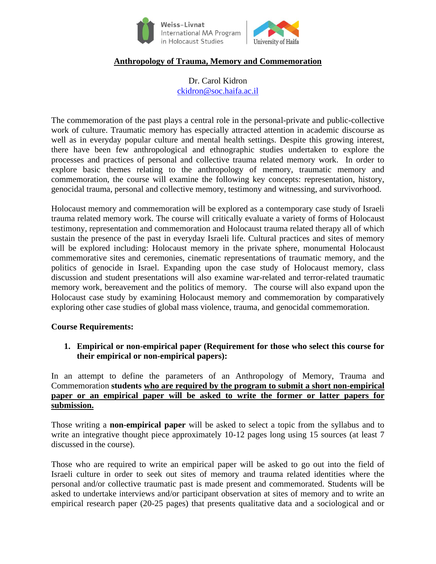

### **Anthropology of Trauma, Memory and Commemoration**

Dr. Carol Kidron [ckidron@soc.haifa.ac.il](mailto:ckidron@soc.haifa.ac.il)

The commemoration of the past plays a central role in the personal-private and public-collective work of culture. Traumatic memory has especially attracted attention in academic discourse as well as in everyday popular culture and mental health settings. Despite this growing interest, there have been few anthropological and ethnographic studies undertaken to explore the processes and practices of personal and collective trauma related memory work. In order to explore basic themes relating to the anthropology of memory, traumatic memory and commemoration, the course will examine the following key concepts: representation, history, genocidal trauma, personal and collective memory, testimony and witnessing, and survivorhood.

Holocaust memory and commemoration will be explored as a contemporary case study of Israeli trauma related memory work. The course will critically evaluate a variety of forms of Holocaust testimony, representation and commemoration and Holocaust trauma related therapy all of which sustain the presence of the past in everyday Israeli life. Cultural practices and sites of memory will be explored including: Holocaust memory in the private sphere, monumental Holocaust commemorative sites and ceremonies, cinematic representations of traumatic memory, and the politics of genocide in Israel. Expanding upon the case study of Holocaust memory, class discussion and student presentations will also examine war-related and terror-related traumatic memory work, bereavement and the politics of memory. The course will also expand upon the Holocaust case study by examining Holocaust memory and commemoration by comparatively exploring other case studies of global mass violence, trauma, and genocidal commemoration.

#### **Course Requirements:**

**1. Empirical or non-empirical paper (Requirement for those who select this course for their empirical or non-empirical papers):**

In an attempt to define the parameters of an Anthropology of Memory, Trauma and Commemoration **students who are required by the program to submit a short non-empirical paper or an empirical paper will be asked to write the former or latter papers for submission.**

Those writing a **non-empirical paper** will be asked to select a topic from the syllabus and to write an integrative thought piece approximately 10-12 pages long using 15 sources (at least 7 discussed in the course).

Those who are required to write an empirical paper will be asked to go out into the field of Israeli culture in order to seek out sites of memory and trauma related identities where the personal and/or collective traumatic past is made present and commemorated. Students will be asked to undertake interviews and/or participant observation at sites of memory and to write an empirical research paper (20-25 pages) that presents qualitative data and a sociological and or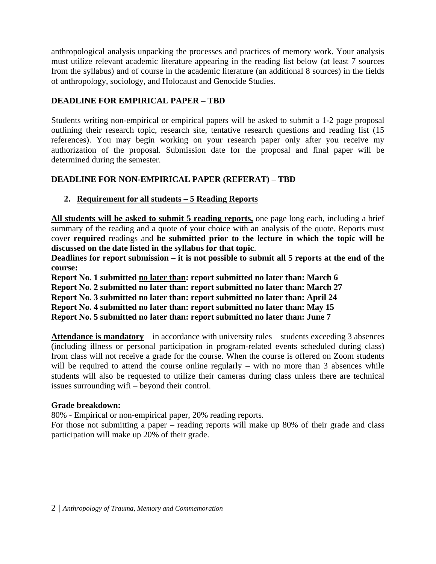anthropological analysis unpacking the processes and practices of memory work. Your analysis must utilize relevant academic literature appearing in the reading list below (at least 7 sources from the syllabus) and of course in the academic literature (an additional 8 sources) in the fields of anthropology, sociology, and Holocaust and Genocide Studies.

# **DEADLINE FOR EMPIRICAL PAPER – TBD**

Students writing non-empirical or empirical papers will be asked to submit a 1-2 page proposal outlining their research topic, research site, tentative research questions and reading list (15 references). You may begin working on your research paper only after you receive my authorization of the proposal. Submission date for the proposal and final paper will be determined during the semester.

## **DEADLINE FOR NON-EMPIRICAL PAPER (REFERAT) – TBD**

# **2. Requirement for all students – 5 Reading Reports**

**All students will be asked to submit 5 reading reports,** one page long each, including a brief summary of the reading and a quote of your choice with an analysis of the quote. Reports must cover **required** readings and **be submitted prior to the lecture in which the topic will be discussed on the date listed in the syllabus for that topic**.

**Deadlines for report submission – it is not possible to submit all 5 reports at the end of the course:**

**Report No. 1 submitted no later than: report submitted no later than: March 6 Report No. 2 submitted no later than: report submitted no later than: March 27 Report No. 3 submitted no later than: report submitted no later than: April 24 Report No. 4 submitted no later than: report submitted no later than: May 15 Report No. 5 submitted no later than: report submitted no later than: June 7**

**Attendance is mandatory** – in accordance with university rules – students exceeding 3 absences (including illness or personal participation in program-related events scheduled during class) from class will not receive a grade for the course. When the course is offered on Zoom students will be required to attend the course online regularly – with no more than 3 absences while students will also be requested to utilize their cameras during class unless there are technical issues surrounding wifi – beyond their control.

## **Grade breakdown:**

80% - Empirical or non-empirical paper, 20% reading reports.

For those not submitting a paper – reading reports will make up 80% of their grade and class participation will make up 20% of their grade.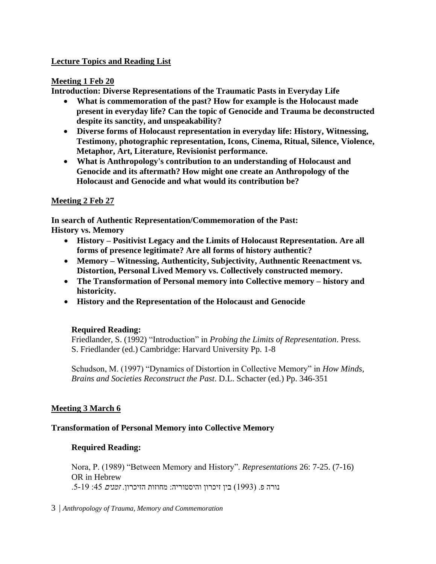### **Lecture Topics and Reading List**

### **Meeting 1 Feb 20**

**Introduction: Diverse Representations of the Traumatic Pasts in Everyday Life**

- **What is commemoration of the past? How for example is the Holocaust made present in everyday life? Can the topic of Genocide and Trauma be deconstructed despite its sanctity, and unspeakability?**
- **Diverse forms of Holocaust representation in everyday life: History, Witnessing, Testimony, photographic representation, Icons, Cinema, Ritual, Silence, Violence, Metaphor, Art, Literature, Revisionist performance.**
- **What is Anthropology's contribution to an understanding of Holocaust and Genocide and its aftermath? How might one create an Anthropology of the Holocaust and Genocide and what would its contribution be?**

### **Meeting 2 Feb 27**

**In search of Authentic Representation/Commemoration of the Past: History vs. Memory**

- **History – Positivist Legacy and the Limits of Holocaust Representation. Are all forms of presence legitimate? Are all forms of history authentic?**
- **Memory – Witnessing, Authenticity, Subjectivity, Authnentic Reenactment vs. Distortion, Personal Lived Memory vs. Collectively constructed memory.**
- **The Transformation of Personal memory into Collective memory – history and historicity.**
- **History and the Representation of the Holocaust and Genocide**

## **Required Reading:**

Friedlander, S. (1992) "Introduction" in *Probing the Limits of Representation*. Press. S. Friedlander (ed.) Cambridge: Harvard University Pp. 1-8

Schudson, M. (1997) "Dynamics of Distortion in Collective Memory" in *How Minds, Brains and Societies Reconstruct the Past*. D.L. Schacter (ed.) Pp. 346-351

## **Meeting 3 March 6**

#### **Transformation of Personal Memory into Collective Memory**

#### **Required Reading:**

Nora, P. (1989) "Between Memory and History". *Representations* 26: 7-25. (7-16) OR in Hebrew נורה פ. (1993) בין זיכרון והיסטוריה: מחוזות הזיכרון. *זמנים* 45: 5-19.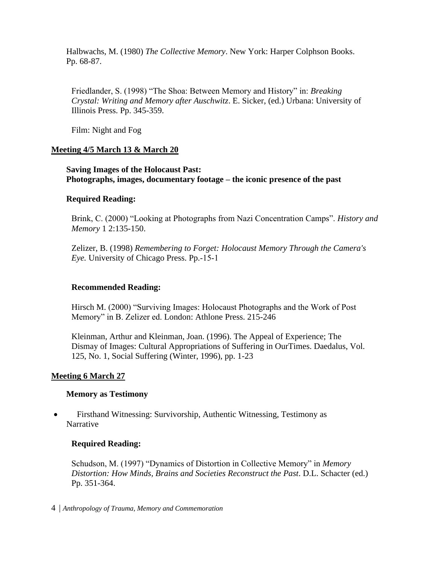Halbwachs, M. (1980) *The Collective Memory*. New York: Harper Colphson Books. Pp. 68-87.

Friedlander, S. (1998) "The Shoa: Between Memory and History" in: *Breaking Crystal: Writing and Memory after Auschwitz*. E. Sicker, (ed.) Urbana: University of Illinois Press. Pp. 345-359.

Film: Night and Fog

### **Meeting 4/5 March 13 & March 20**

**Saving Images of the Holocaust Past: Photographs, images, documentary footage – the iconic presence of the past**

#### **Required Reading:**

Brink, C. (2000) "Looking at Photographs from Nazi Concentration Camps". *History and Memory* 1 2:135-150.

Zelizer, B. (1998) *Remembering to Forget: Holocaust Memory Through the Camera's Eye.* University of Chicago Press. Pp.-15-1

#### **Recommended Reading:**

Hirsch M. (2000) "Surviving Images: Holocaust Photographs and the Work of Post Memory" in B. Zelizer ed. London: Athlone Press. 215-246

Kleinman, Arthur and Kleinman, Joan. (1996). The Appeal of Experience; The Dismay of Images: Cultural Appropriations of Suffering in OurTimes. Daedalus, Vol. 125, No. 1, Social Suffering (Winter, 1996), pp. 1-23

#### **Meeting 6 March 27**

#### **Memory as Testimony**

• Firsthand Witnessing: Survivorship, Authentic Witnessing, Testimony as Narrative

#### **Required Reading:**

Schudson, M. (1997) "Dynamics of Distortion in Collective Memory" in *Memory Distortion: How Minds, Brains and Societies Reconstruct the Past*. D.L. Schacter (ed.) Pp. 351-364.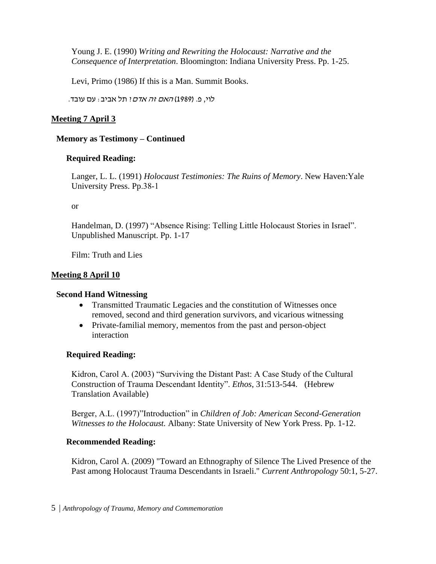Young J. E. (1990) *Writing and Rewriting the Holocaust: Narrative and the Consequence of Interpretation*. Bloomington: Indiana University Press. Pp. 1-25.

Levi, Primo (1986) If this is a Man. Summit Books.

לוי, פ. (1989) *האם זה אדם*? תל אביב: עם עובד.

### **Meeting 7 April 3**

### **Memory as Testimony – Continued**

### **Required Reading:**

Langer, L. L. (1991) *Holocaust Testimonies: The Ruins of Memory*. New Haven:Yale University Press. Pp.38-1

or

Handelman, D. (1997) "Absence Rising: Telling Little Holocaust Stories in Israel". Unpublished Manuscript. Pp. 1-17

Film: Truth and Lies

### **Meeting 8 April 10**

#### **Second Hand Witnessing**

- Transmitted Traumatic Legacies and the constitution of Witnesses once removed, second and third generation survivors, and vicarious witnessing
- Private-familial memory, mementos from the past and person-object interaction

## **Required Reading:**

Kidron, Carol A. (2003) "Surviving the Distant Past: A Case Study of the Cultural Construction of Trauma Descendant Identity". *Ethos*, 31:513-544. (Hebrew Translation Available)

Berger, A.L. (1997)"Introduction" in *Children of Job: American Second-Generation Witnesses to the Holocaust.* Albany: State University of New York Press. Pp. 1-12.

#### **Recommended Reading:**

Kidron, Carol A. (2009) "Toward an Ethnography of Silence The Lived Presence of the Past among Holocaust Trauma Descendants in Israeli." *Current Anthropology* 50:1, 5-27.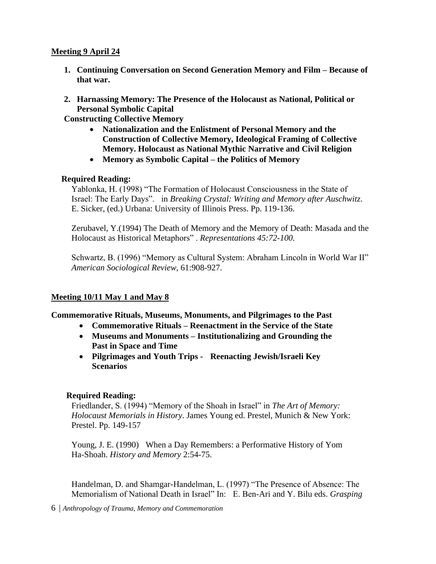### **Meeting 9 April 24**

- **1. Continuing Conversation on Second Generation Memory and Film – Because of that war.**
- **2. Harnassing Memory: The Presence of the Holocaust as National, Political or Personal Symbolic Capital**

**Constructing Collective Memory**

- **Nationalization and the Enlistment of Personal Memory and the Construction of Collective Memory, Ideological Framing of Collective Memory. Holocaust as National Mythic Narrative and Civil Religion**
- **Memory as Symbolic Capital – the Politics of Memory**

## **Required Reading:**

Yablonka, H. (1998) "The Formation of Holocaust Consciousness in the State of Israel: The Early Days". in *Breaking Crystal: Writing and Memory after Auschwitz*. E. Sicker, (ed.) Urbana: University of Illinois Press. Pp. 119-136.

Zerubavel, Y.(1994) The Death of Memory and the Memory of Death: Masada and the Holocaust as Historical Metaphors" . *Representations 45:72-100.*

Schwartz, B. (1996) "Memory as Cultural System: Abraham Lincoln in World War II" *American Sociological Review*, 61:908-927.

## **Meeting 10/11 May 1 and May 8**

## **Commemorative Rituals, Museums, Monuments, and Pilgrimages to the Past**

- **Commemorative Rituals – Reenactment in the Service of the State**
- **Museums and Monuments – Institutionalizing and Grounding the Past in Space and Time**
- **Pilgrimages and Youth Trips Reenacting Jewish/Israeli Key Scenarios**

## **Required Reading:**

Friedlander, S. (1994) "Memory of the Shoah in Israel" in *The Art of Memory: Holocaust Memorials in History*. James Young ed. Prestel, Munich & New York: Prestel. Pp. 149-157

Young, J. E. (1990) When a Day Remembers: a Performative History of Yom Ha-Shoah. *History and Memory* 2:54-75.

Handelman, D. and Shamgar-Handelman, L. (1997) "The Presence of Absence: The Memorialism of National Death in Israel" In: E. Ben-Ari and Y. Bilu eds. *Grasping*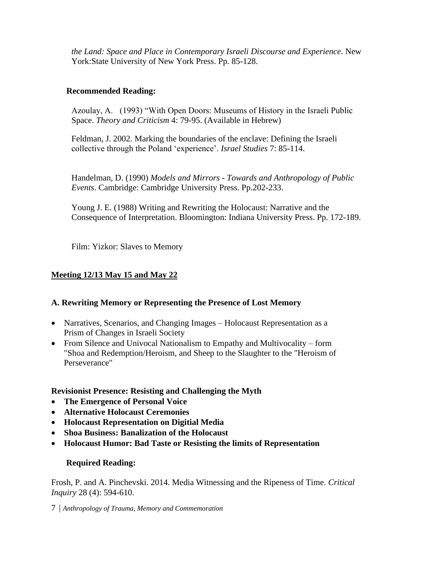*the Land: Space and Place in Contemporary Israeli Discourse and Experience*. New York:State University of New York Press. Pp. 85-128.

### **Recommended Reading:**

Azoulay, A. (1993) "With Open Doors: Museums of History in the Israeli Public Space. *Theory and Criticism* 4: 79-95. (Available in Hebrew)

Feldman, J. 2002. Marking the boundaries of the enclave: Defining the Israeli collective through the Poland 'experience'. *Israel Studies* 7: 85-114.

Handelman, D. (1990) *Models and Mirrors - Towards and Anthropology of Public Events*. Cambridge: Cambridge University Press. Pp.202-233.

Young J. E. (1988) Writing and Rewriting the Holocaust: Narrative and the Consequence of Interpretation. Bloomington: Indiana University Press. Pp. 172-189.

Film: Yizkor: Slaves to Memory

## **Meeting 12/13 May 15 and May 22**

## **A. Rewriting Memory or Representing the Presence of Lost Memory**

- Narratives, Scenarios, and Changing Images Holocaust Representation as a Prism of Changes in Israeli Society
- From Silence and Univocal Nationalism to Empathy and Multivocality form "Shoa and Redemption/Heroism, and Sheep to the Slaughter to the "Heroism of Perseverance"

#### **Revisionist Presence: Resisting and Challenging the Myth**

- **The Emergence of Personal Voice**
- **Alternative Holocaust Ceremonies**
- **Holocaust Representation on Digitial Media**
- **Shoa Business: Banalization of the Holocaust**
- **Holocaust Humor: Bad Taste or Resisting the limits of Representation**

#### **Required Reading:**

Frosh, P. and A. Pinchevski. 2014. Media Witnessing and the Ripeness of Time. *Critical Inquiry* 28 (4): 594-610.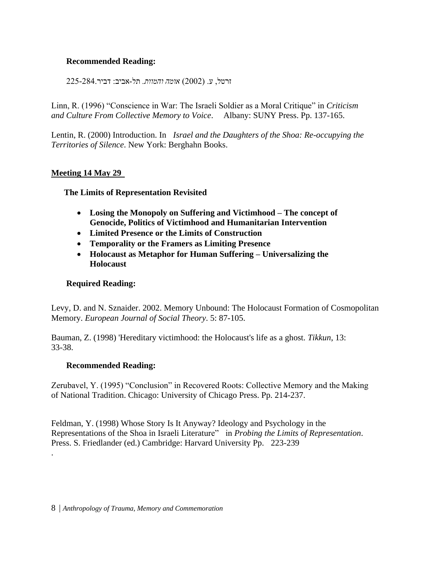## **Recommended Reading:**

זרטל, ע. )2002( *אומה והמוות.* תל-אביב: דביר225-284.

Linn, R. (1996) "Conscience in War: The Israeli Soldier as a Moral Critique" in *Criticism and Culture From Collective Memory to Voice*. Albany: SUNY Press. Pp. 137-165.

Lentin, R. (2000) Introduction. In *Israel and the Daughters of the Shoa: Re-occupying the Territories of Silence*. New York: Berghahn Books.

### **Meeting 14 May 29**

### **The Limits of Representation Revisited**

- **Losing the Monopoly on Suffering and Victimhood – The concept of Genocide, Politics of Victimhood and Humanitarian Intervention**
- **Limited Presence or the Limits of Construction**
- **Temporality or the Framers as Limiting Presence**
- **Holocaust as Metaphor for Human Suffering – Universalizing the Holocaust**

#### **Required Reading:**

Levy, D. and N. Sznaider. 2002. Memory Unbound: The Holocaust Formation of Cosmopolitan Memory. *European Journal of Social Theory*. 5: 87-105.

Bauman, Z. (1998) 'Hereditary victimhood: the Holocaust's life as a ghost. *Tikkun*, 13: 33-38.

#### **Recommended Reading:**

.

Zerubavel, Y. (1995) "Conclusion" in Recovered Roots: Collective Memory and the Making of National Tradition. Chicago: University of Chicago Press. Pp. 214-237.

Feldman, Y. (1998) Whose Story Is It Anyway? Ideology and Psychology in the Representations of the Shoa in Israeli Literature" in *Probing the Limits of Representation*. Press. S. Friedlander (ed.) Cambridge: Harvard University Pp. 223-239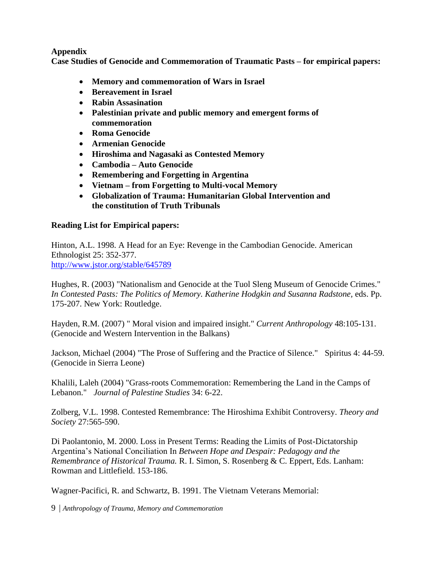### **Appendix**

**Case Studies of Genocide and Commemoration of Traumatic Pasts – for empirical papers:**

- **Memory and commemoration of Wars in Israel**
- **Bereavement in Israel**
- **Rabin Assasination**
- **Palestinian private and public memory and emergent forms of commemoration**
- **Roma Genocide**
- **Armenian Genocide**
- **Hiroshima and Nagasaki as Contested Memory**
- **Cambodia – Auto Genocide**
- **Remembering and Forgetting in Argentina**
- **Vietnam – from Forgetting to Multi-vocal Memory**
- **Globalization of Trauma: Humanitarian Global Intervention and the constitution of Truth Tribunals**

## **Reading List for Empirical papers:**

Hinton, A.L. 1998. A Head for an Eye: Revenge in the Cambodian Genocide. American Ethnologist 25: 352-377. <http://www.jstor.org/stable/645789>

Hughes, R. (2003) "Nationalism and Genocide at the Tuol Sleng Museum of Genocide Crimes." *In Contested Pasts: The Politics of Memory. Katherine Hodgkin and Susanna Radstone,* eds. Pp. 175-207. New York: Routledge.

Hayden, R.M. (2007) " Moral vision and impaired insight." *Current Anthropology* 48:105-131. (Genocide and Western Intervention in the Balkans)

Jackson, Michael (2004) "The Prose of Suffering and the Practice of Silence." Spiritus 4: 44-59. (Genocide in Sierra Leone)

Khalili, Laleh (2004) "Grass-roots Commemoration: Remembering the Land in the Camps of Lebanon." *Journal of Palestine Studies* 34: 6-22.

Zolberg, V.L. 1998. Contested Remembrance: The Hiroshima Exhibit Controversy. *Theory and Society* 27:565-590.

Di Paolantonio, M. 2000. Loss in Present Terms: Reading the Limits of Post-Dictatorship Argentina's National Conciliation In *Between Hope and Despair: Pedagogy and the Remembrance of Historical Trauma.* R. I. Simon, S. Rosenberg & C. Eppert, Eds. Lanham: Rowman and Littlefield. 153-186.

Wagner-Pacifici, R. and Schwartz, B. 1991. The Vietnam Veterans Memorial: